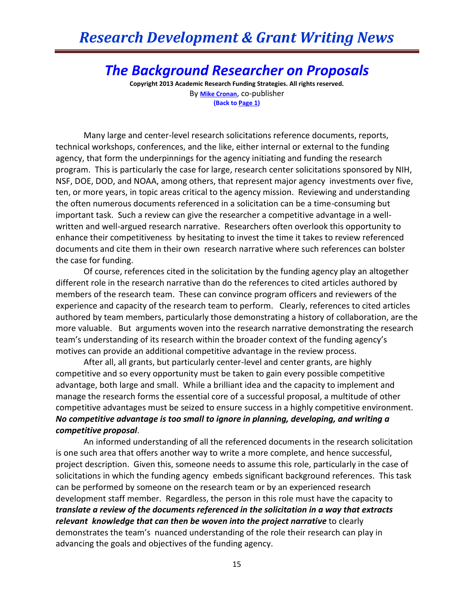## *Research Development & Grant Writing News*

## *The Background Researcher on Proposals*

**Copyright 2013 Academic Research Funding Strategies. All rights reserved.** By **[Mike Cronan](mailto:mjcronan@gmail.com)**, co-publisher **(Back to Page 1)**

Many large and center-level research solicitations reference documents, reports, technical workshops, conferences, and the like, either internal or external to the funding agency, that form the underpinnings for the agency initiating and funding the research program. This is particularly the case for large, research center solicitations sponsored by NIH, NSF, DOE, DOD, and NOAA, among others, that represent major agency investments over five, ten, or more years, in topic areas critical to the agency mission. Reviewing and understanding the often numerous documents referenced in a solicitation can be a time-consuming but important task. Such a review can give the researcher a competitive advantage in a wellwritten and well-argued research narrative. Researchers often overlook this opportunity to enhance their competitiveness by hesitating to invest the time it takes to review referenced documents and cite them in their own research narrative where such references can bolster the case for funding.

Of course, references cited in the solicitation by the funding agency play an altogether different role in the research narrative than do the references to cited articles authored by members of the research team. These can convince program officers and reviewers of the experience and capacity of the research team to perform. Clearly, references to cited articles authored by team members, particularly those demonstrating a history of collaboration, are the more valuable. But arguments woven into the research narrative demonstrating the research team's understanding of its research within the broader context of the funding agency's motives can provide an additional competitive advantage in the review process.

After all, all grants, but particularly center-level and center grants, are highly competitive and so every opportunity must be taken to gain every possible competitive advantage, both large and small. While a brilliant idea and the capacity to implement and manage the research forms the essential core of a successful proposal, a multitude of other competitive advantages must be seized to ensure success in a highly competitive environment. *No competitive advantage is too small to ignore in planning, developing, and writing a competitive proposal*.

An informed understanding of all the referenced documents in the research solicitation is one such area that offers another way to write a more complete, and hence successful, project description. Given this, someone needs to assume this role, particularly in the case of solicitations in which the funding agency embeds significant background references. This task can be performed by someone on the research team or by an experienced research development staff member. Regardless, the person in this role must have the capacity to *translate a review of the documents referenced in the solicitation in a way that extracts relevant knowledge that can then be woven into the project narrative* to clearly demonstrates the team's nuanced understanding of the role their research can play in advancing the goals and objectives of the funding agency.